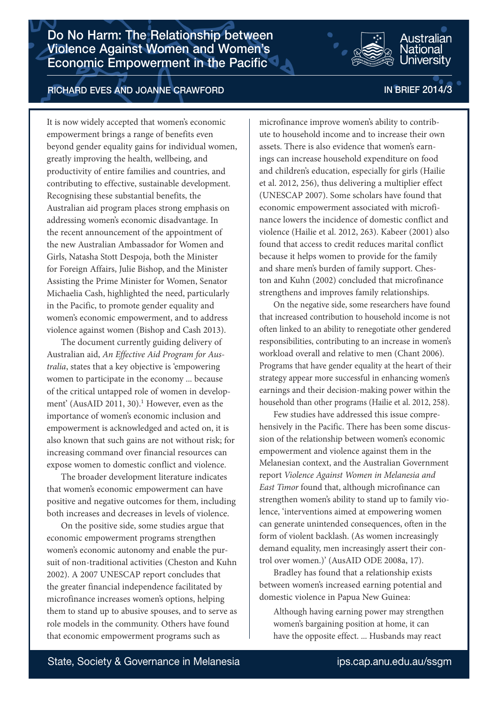Do No Harm: The Relationship between Violence Against Women and Women's Economic Empowerment in the Pacific



It is now widely accepted that women's economic empowerment brings a range of benefits even beyond gender equality gains for individual women, greatly improving the health, wellbeing, and productivity of entire families and countries, and contributing to effective, sustainable development. Recognising these substantial benefits, the Australian aid program places strong emphasis on addressing women's economic disadvantage. In the recent announcement of the appointment of the new Australian Ambassador for Women and Girls, Natasha Stott Despoja, both the Minister for Foreign Affairs, Julie Bishop, and the Minister Assisting the Prime Minister for Women, Senator Michaelia Cash, highlighted the need, particularly in the Pacific, to promote gender equality and women's economic empowerment, and to address violence against women (Bishop and Cash 2013).

The document currently guiding delivery of Australian aid, *An Effective Aid Program for Australia*, states that a key objective is 'empowering women to participate in the economy ... because of the critical untapped role of women in development' (AusAID 2011, 30).<sup>1</sup> However, even as the importance of women's economic inclusion and empowerment is acknowledged and acted on, it is also known that such gains are not without risk; for increasing command over financial resources can expose women to domestic conflict and violence.

The broader development literature indicates that women's economic empowerment can have positive and negative outcomes for them, including both increases and decreases in levels of violence.

On the positive side, some studies argue that economic empowerment programs strengthen women's economic autonomy and enable the pursuit of non-traditional activities (Cheston and Kuhn 2002). A 2007 UNESCAP report concludes that the greater financial independence facilitated by microfinance increases women's options, helping them to stand up to abusive spouses, and to serve as role models in the community. Others have found that economic empowerment programs such as

# microfinance improve women's ability to contribute to household income and to increase their own assets. There is also evidence that women's earnings can increase household expenditure on food and children's education, especially for girls (Hailie et al. 2012, 256), thus delivering a multiplier effect (UNESCAP 2007). Some scholars have found that economic empowerment associated with microfinance lowers the incidence of domestic conflict and violence (Hailie et al. 2012, 263). Kabeer (2001) also found that access to credit reduces marital conflict because it helps women to provide for the family and share men's burden of family support. Cheston and Kuhn (2002) concluded that microfinance strengthens and improves family relationships.

On the negative side, some researchers have found that increased contribution to household income is not often linked to an ability to renegotiate other gendered responsibilities, contributing to an increase in women's workload overall and relative to men (Chant 2006). Programs that have gender equality at the heart of their strategy appear more successful in enhancing women's earnings and their decision-making power within the household than other programs (Hailie et al. 2012, 258).

Few studies have addressed this issue comprehensively in the Pacific. There has been some discussion of the relationship between women's economic empowerment and violence against them in the Melanesian context, and the Australian Government report *Violence Against Women in Melanesia and East Timor* found that, although microfinance can strengthen women's ability to stand up to family violence, 'interventions aimed at empowering women can generate unintended consequences, often in the form of violent backlash. (As women increasingly demand equality, men increasingly assert their control over women.)' (AusAID ODE 2008a, 17).

Bradley has found that a relationship exists between women's increased earning potential and domestic violence in Papua New Guinea:

Although having earning power may strengthen women's bargaining position at home, it can have the opposite effect. ... Husbands may react

Jational Iniversitv